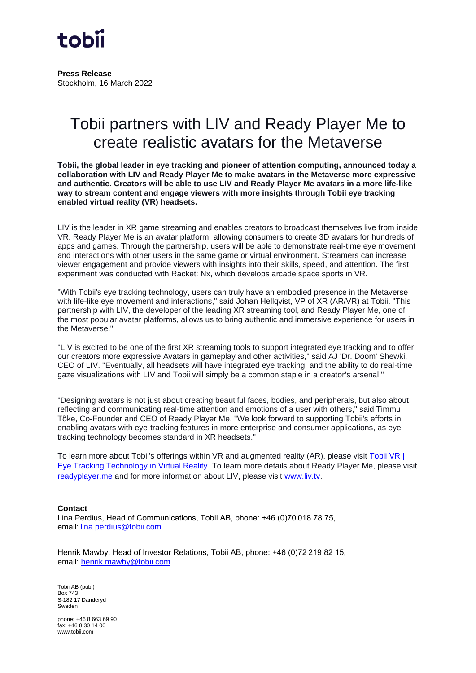

**Press Release** Stockholm, 16 March 2022

## Tobii partners with LIV and Ready Player Me to create realistic avatars for the Metaverse

**Tobii, the global leader in eye tracking and pioneer of attention computing, announced today a collaboration with LIV and Ready Player Me to make avatars in the Metaverse more expressive and authentic. Creators will be able to use LIV and Ready Player Me avatars in a more life-like way to stream content and engage viewers with more insights through Tobii eye tracking enabled virtual reality (VR) headsets.**

LIV is the leader in XR game streaming and enables creators to broadcast themselves live from inside VR. Ready Player Me is an avatar platform, allowing consumers to create 3D avatars for hundreds of apps and games. Through the partnership, users will be able to demonstrate real-time eye movement and interactions with other users in the same game or virtual environment. Streamers can increase viewer engagement and provide viewers with insights into their skills, speed, and attention. The first experiment was conducted with Racket: Nx, which develops arcade space sports in VR.

"With Tobii's eye tracking technology, users can truly have an embodied presence in the Metaverse with life-like eye movement and interactions," said Johan Hellqvist, VP of XR (AR/VR) at Tobii. "This partnership with LIV, the developer of the leading XR streaming tool, and Ready Player Me, one of the most popular avatar platforms, allows us to bring authentic and immersive experience for users in the Metaverse."

"LIV is excited to be one of the first XR streaming tools to support integrated eye tracking and to offer our creators more expressive Avatars in gameplay and other activities," said AJ 'Dr. Doom' Shewki, CEO of LIV. "Eventually, all headsets will have integrated eye tracking, and the ability to do real-time gaze visualizations with LIV and Tobii will simply be a common staple in a creator's arsenal."

"Designing avatars is not just about creating beautiful faces, bodies, and peripherals, but also about reflecting and communicating real-time attention and emotions of a user with others," said Timmu Tõke, Co-Founder and CEO of Ready Player Me. "We look forward to supporting Tobii's efforts in enabling avatars with eye-tracking features in more enterprise and consumer applications, as eyetracking technology becomes standard in XR headsets."

To learn more about Tobii's offerings within VR and augmented reality (AR), please visit [Tobii VR |](https://vr.tobii.com/)  [Eye Tracking Technology in Virtual Reality.](https://vr.tobii.com/) To learn more details about Ready Player Me, please visit [readyplayer.me](https://readyplayer.me/) and for more information about LIV, please visit [www.liv.tv.](http://www.liv.tv/)

## **Contact**

Lina Perdius, Head of Communications, Tobii AB, phone: +46 (0)70 018 78 75, email[: lina.perdius@tobii.com](mailto:lina.perdius@tobii.com)

Henrik Mawby, Head of Investor Relations, Tobii AB, phone: +46 (0)72 219 82 15, email: [henrik.mawby@tobii.com](mailto:henrik.mawby@tobii.com) 

Tobii AB (publ) Box 743 S-182 17 Danderyd Sweden

phone: +46 8 663 69 90 fax: +46 8 30 14 00 www.tobii.com